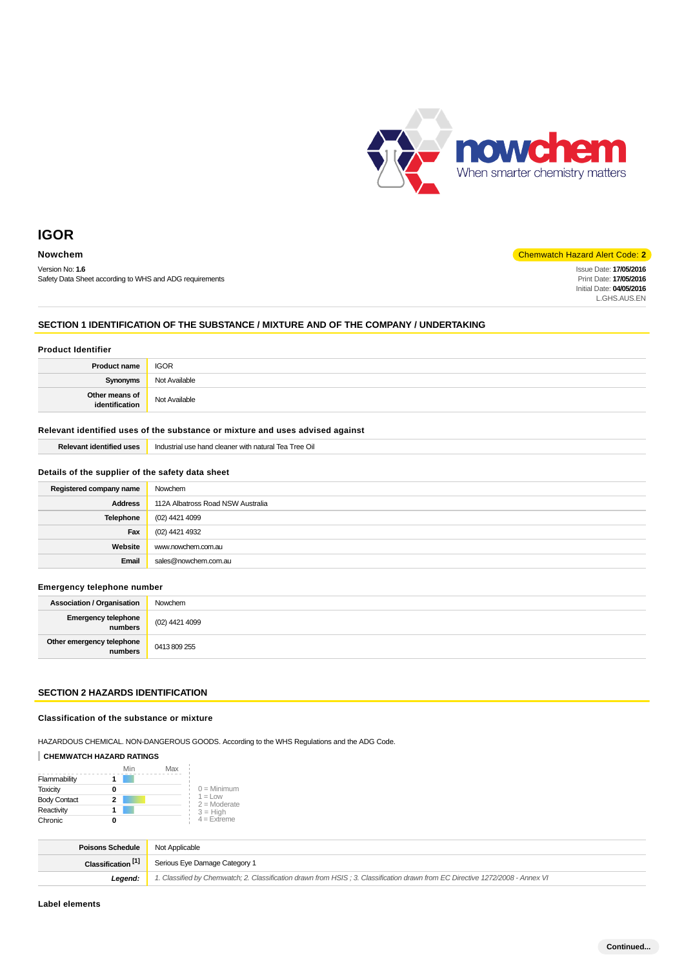

Version No: **1.6** Safety Data Sheet according to WHS and ADG requirements

## **Nowchem** Chemwatch Hazard Alert Code: **2**

Issue Date: **17/05/2016** Print Date: **17/05/2016** Initial Date: **04/05/2016** L.GHS.AUS.EN

## **SECTION 1 IDENTIFICATION OF THE SUBSTANCE / MIXTURE AND OF THE COMPANY / UNDERTAKING**

| <b>Product Identifier</b>        |               |  |
|----------------------------------|---------------|--|
| <b>Product name</b>              | <b>IGOR</b>   |  |
| Synonyms                         | Not Available |  |
| Other means of<br>identification | Not Available |  |

### **Relevant identified uses of the substance or mixture and uses advised against**

| <b>Relevant identified uses</b>                  | Industrial use hand cleaner with natural Tea Tree Oil |
|--------------------------------------------------|-------------------------------------------------------|
|                                                  |                                                       |
| Details of the supplier of the safety data sheet |                                                       |
| Registered company name                          | Nowchem                                               |
| <b>Address</b>                                   | 112A Albatross Road NSW Australia                     |
| Telephone                                        | (02) 4421 4099                                        |
| Fax                                              | (02) 4421 4932                                        |
| Website                                          | www.nowchem.com.au                                    |
| Email                                            | sales@nowchem.com.au                                  |
|                                                  |                                                       |

## **Emergency telephone number**

| <b>Association / Organisation</b>            | Nowchem                  |
|----------------------------------------------|--------------------------|
| <b>Emergency telephone</b><br><b>numbers</b> | $\big(02\big)$ 4421 4099 |
| Other emergency telephone<br>numbers         | 0413 809 255             |

## **SECTION 2 HAZARDS IDENTIFICATION**

### **Classification of the substance or mixture**

HAZARDOUS CHEMICAL. NON-DANGEROUS GOODS. According to the WHS Regulations and the ADG Code.

## **CHEMWATCH HAZARD RATINGS**

|                     | Min | Max |                                    |
|---------------------|-----|-----|------------------------------------|
| Flammability        |     |     |                                    |
| <b>Toxicity</b>     |     |     | $0 =$ Minimum                      |
| <b>Body Contact</b> |     |     | $1 = 1$ $\Omega$<br>$2 =$ Moderate |
| Reactivity          |     |     | $3 = High$                         |
| Chronic             |     |     | $4$ = Extreme                      |

| <b>Poisons Schedule</b> Not Applicable |                                                                                                                               |  |
|----------------------------------------|-------------------------------------------------------------------------------------------------------------------------------|--|
| Classification <sup>[1]</sup>          | Serious Eye Damage Category 1                                                                                                 |  |
| Leaend:                                | 1. Classified by Chemwatch; 2. Classification drawn from HSIS; 3. Classification drawn from EC Directive 1272/2008 - Annex VI |  |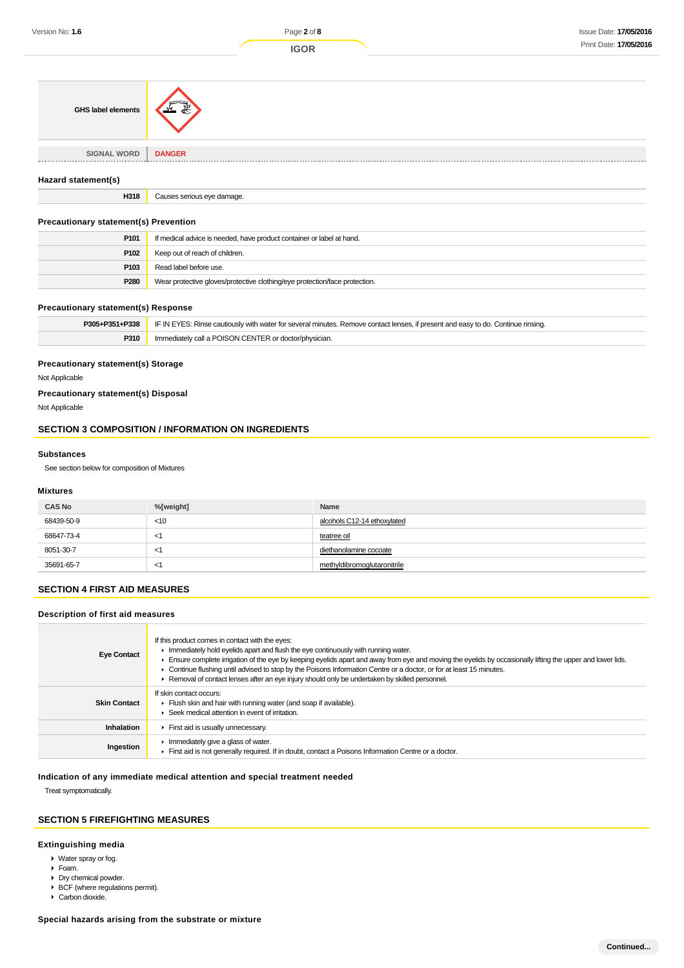| GHS label elements          | 系                          |
|-----------------------------|----------------------------|
| <b>SIGNAL WORD</b><br>----- | <b>DANGER</b>              |
| Hazard statement(s)         |                            |
| H318                        | Causes serious eye damage. |
|                             |                            |

## **Precautionary statement(s) Prevention**

| P <sub>101</sub> | If medical advice is needed, have product container or label at hand.      |  |
|------------------|----------------------------------------------------------------------------|--|
| P <sub>102</sub> | Keep out of reach of children.                                             |  |
| P <sub>103</sub> | Read label before use.                                                     |  |
| P <sub>280</sub> | Wear protective gloves/protective clothing/eye protection/face protection. |  |

## **Precautionary statement(s) Response**

| P305+P351+P338 | IF IN EYES: Rinse cautiously with water for several minutes. Remove contact lenses, if present and easy to do. Continue rinsing, |
|----------------|----------------------------------------------------------------------------------------------------------------------------------|
| P310           | Immediately call a POISON CENTER or doctor/physician.                                                                            |

## **Precautionary statement(s) Storage**

Not Applicable

## **Precautionary statement(s) Disposal**

Not Applicable

## **SECTION 3 COMPOSITION / INFORMATION ON INGREDIENTS**

#### **Substances**

See section below for composition of Mixtures

## **Mixtures**

| <b>CAS No</b> | %[weight] | Name                        |
|---------------|-----------|-----------------------------|
| 68439-50-9    | $<$ 10    | alcohols C12-14 ethoxylated |
| 68647-73-4    | $\lt'$    | teatree oil                 |
| 8051-30-7     | $\leq$    | diethanolamine cocoate      |
| 35691-65-7    | $\leq$    | methyldibromoglutaronitrile |

## **SECTION 4 FIRST AID MEASURES**

## **Description of first aid measures**

| <b>Eye Contact</b>  | If this product comes in contact with the eyes:<br>Inmediately hold eyelids apart and flush the eye continuously with running water.<br>Ensure complete irrigation of the eye by keeping eyelids apart and away from eye and moving the eyelids by occasionally lifting the upper and lower lids.<br>► Continue flushing until advised to stop by the Poisons Information Centre or a doctor, or for at least 15 minutes.<br>► Removal of contact lenses after an eye injury should only be undertaken by skilled personnel. |
|---------------------|------------------------------------------------------------------------------------------------------------------------------------------------------------------------------------------------------------------------------------------------------------------------------------------------------------------------------------------------------------------------------------------------------------------------------------------------------------------------------------------------------------------------------|
| <b>Skin Contact</b> | If skin contact occurs:<br>Flush skin and hair with running water (and soap if available).<br>▶ Seek medical attention in event of irritation.                                                                                                                                                                                                                                                                                                                                                                               |
| <b>Inhalation</b>   | First aid is usually unnecessary.                                                                                                                                                                                                                                                                                                                                                                                                                                                                                            |
| Ingestion           | $\blacktriangleright$ Immediately give a glass of water.<br>First aid is not generally required. If in doubt, contact a Poisons Information Centre or a doctor.                                                                                                                                                                                                                                                                                                                                                              |

## **Indication of any immediate medical attention and special treatment needed**

Treat symptomatically.

### **SECTION 5 FIREFIGHTING MEASURES**

## **Extinguishing media**

- Water spray or fog.
- Foam.
- Dry chemical powder.
- ▶ BCF (where regulations permit).
- Carbon dioxide.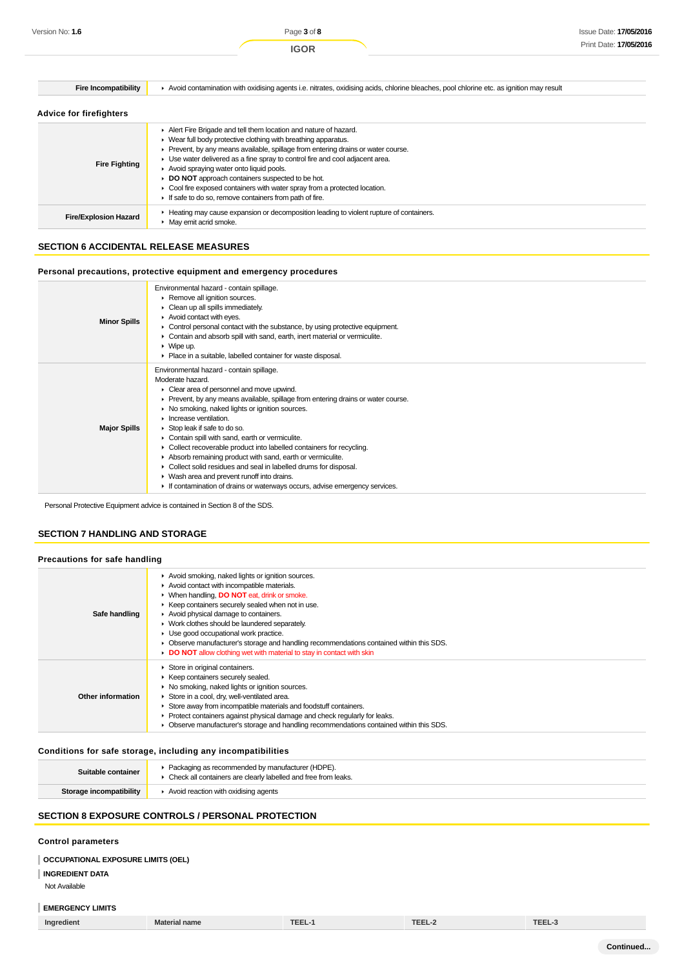| <b>Fire Incompatibility</b>    | Avoid contamination with oxidising agents i.e. nitrates, oxidising acids, chlorine bleaches, pool chlorine etc. as ignition may result                                                                                                                                                                                                                                                                                                                                                                                                           |  |
|--------------------------------|--------------------------------------------------------------------------------------------------------------------------------------------------------------------------------------------------------------------------------------------------------------------------------------------------------------------------------------------------------------------------------------------------------------------------------------------------------------------------------------------------------------------------------------------------|--|
| <b>Advice for firefighters</b> |                                                                                                                                                                                                                                                                                                                                                                                                                                                                                                                                                  |  |
| <b>Fire Fighting</b>           | Alert Fire Brigade and tell them location and nature of hazard.<br>• Wear full body protective clothing with breathing apparatus.<br>Prevent, by any means available, spillage from entering drains or water course.<br>Use water delivered as a fine spray to control fire and cool adjacent area.<br>Avoid spraying water onto liquid pools.<br><b>DO NOT</b> approach containers suspected to be hot.<br>• Cool fire exposed containers with water spray from a protected location.<br>If safe to do so, remove containers from path of fire. |  |
| <b>Fire/Explosion Hazard</b>   | Heating may cause expansion or decomposition leading to violent rupture of containers.<br>• May emit acrid smoke.                                                                                                                                                                                                                                                                                                                                                                                                                                |  |

## **SECTION 6 ACCIDENTAL RELEASE MEASURES**

## **Personal precautions, protective equipment and emergency procedures**

| <b>Minor Spills</b> | Environmental hazard - contain spillage.<br>Remove all ignition sources.<br>• Clean up all spills immediately.<br>Avoid contact with eyes.<br>$\triangleright$ Control personal contact with the substance, by using protective equipment.<br>• Contain and absorb spill with sand, earth, inert material or vermiculite.<br>$\triangleright$ Wipe up.<br>• Place in a suitable, labelled container for waste disposal.                                                                                                                                                                                                                                                                                                    |
|---------------------|----------------------------------------------------------------------------------------------------------------------------------------------------------------------------------------------------------------------------------------------------------------------------------------------------------------------------------------------------------------------------------------------------------------------------------------------------------------------------------------------------------------------------------------------------------------------------------------------------------------------------------------------------------------------------------------------------------------------------|
| <b>Major Spills</b> | Environmental hazard - contain spillage.<br>Moderate hazard.<br>• Clear area of personnel and move upwind.<br>► Prevent, by any means available, spillage from entering drains or water course.<br>• No smoking, naked lights or ignition sources.<br>$\blacktriangleright$ Increase ventilation.<br>Stop leak if safe to do so.<br>Contain spill with sand, earth or vermiculite.<br>► Collect recoverable product into labelled containers for recycling.<br>Absorb remaining product with sand, earth or vermiculite.<br>• Collect solid residues and seal in labelled drums for disposal.<br>• Wash area and prevent runoff into drains.<br>If contamination of drains or waterways occurs, advise emergency services. |

Personal Protective Equipment advice is contained in Section 8 of the SDS.

## **SECTION 7 HANDLING AND STORAGE**

## **Precautions for safe handling**

| Safe handling     | Avoid smoking, naked lights or ignition sources.<br>Avoid contact with incompatible materials.<br>▶ When handling, DO NOT eat, drink or smoke.<br>▶ Keep containers securely sealed when not in use.<br>Avoid physical damage to containers.<br>▶ Work clothes should be laundered separately.<br>$\blacktriangleright$ Use good occupational work practice.<br>• Observe manufacturer's storage and handling recommendations contained within this SDS.<br>DO NOT allow clothing wet with material to stay in contact with skin |
|-------------------|----------------------------------------------------------------------------------------------------------------------------------------------------------------------------------------------------------------------------------------------------------------------------------------------------------------------------------------------------------------------------------------------------------------------------------------------------------------------------------------------------------------------------------|
| Other information | Store in original containers.<br>▶ Keep containers securely sealed.<br>▶ No smoking, naked lights or ignition sources.<br>Store in a cool, dry, well-ventilated area.<br>Store away from incompatible materials and foodstuff containers.<br>• Protect containers against physical damage and check regularly for leaks.<br>• Observe manufacturer's storage and handling recommendations contained within this SDS.                                                                                                             |

### **Conditions for safe storage, including any incompatibilities**

| Suitable container      | * Packaging as recommended by manufacturer (HDPE).<br>• Check all containers are clearly labelled and free from leaks. |
|-------------------------|------------------------------------------------------------------------------------------------------------------------|
| Storage incompatibility | Avoid reaction with oxidising agents                                                                                   |

## **SECTION 8 EXPOSURE CONTROLS / PERSONAL PROTECTION**

## **Control parameters**

**OCCUPATIONAL EXPOSURE LIMITS (OEL)**

## **INGREDIENT DATA**

Not Available

## **EMERGENCY LIMITS**

| Ingredient | <b>Material name</b> | TEEL-3 | <b>TEEL-2</b> | TEEL-L |
|------------|----------------------|--------|---------------|--------|
|------------|----------------------|--------|---------------|--------|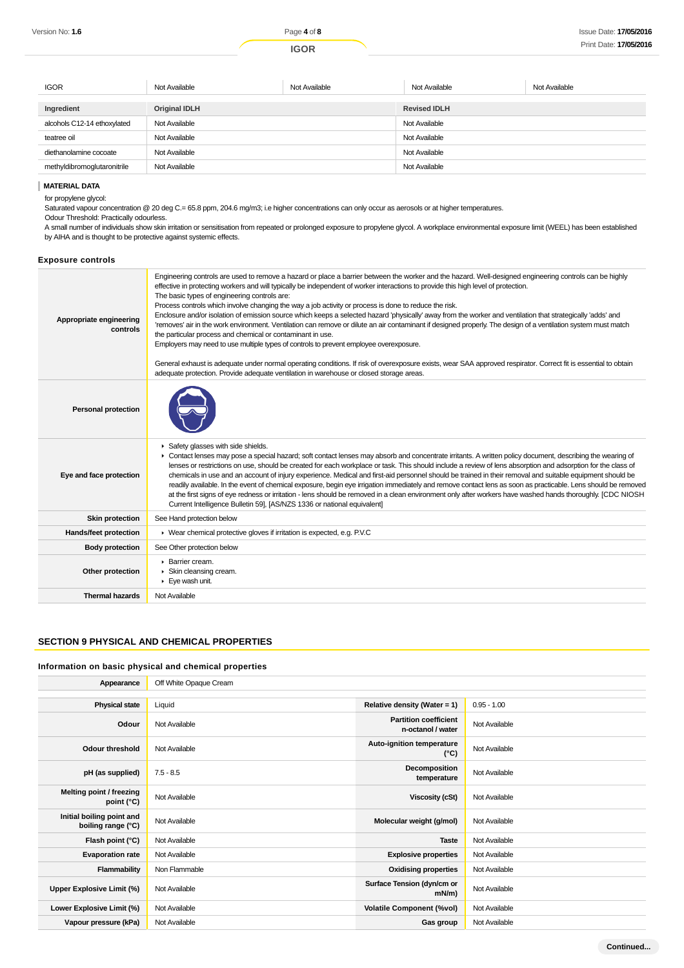| <b>IGOR</b>                 | Not Available        | Not Available | Not Available       | Not Available |
|-----------------------------|----------------------|---------------|---------------------|---------------|
| Ingredient                  | <b>Original IDLH</b> |               | <b>Revised IDLH</b> |               |
|                             |                      |               |                     |               |
| alcohols C12-14 ethoxylated | Not Available        |               | Not Available       |               |
| teatree oil                 | Not Available        |               | Not Available       |               |
| diethanolamine cocoate      | Not Available        |               | Not Available       |               |
| methyldibromoglutaronitrile | Not Available        |               | Not Available       |               |

### **MATERIAL DATA**

for propylene glycol:

Saturated vapour concentration @ 20 deg C.= 65.8 ppm, 204.6 mg/m3; i.e higher concentrations can only occur as aerosols or at higher temperatures.

Odour Threshold: Practically odourless. A small number of individuals show skin irritation or sensitisation from repeated or prolonged exposure to propylene glycol. A workplace environmental exposure limit (WEEL) has been established by AIHA and is thought to be protective against systemic effects.

### **Exposure controls**

| Appropriate engineering<br>controls | Engineering controls are used to remove a hazard or place a barrier between the worker and the hazard. Well-designed engineering controls can be highly<br>effective in protecting workers and will typically be independent of worker interactions to provide this high level of protection.<br>The basic types of engineering controls are:<br>Process controls which involve changing the way a job activity or process is done to reduce the risk.<br>Enclosure and/or isolation of emission source which keeps a selected hazard 'physically' away from the worker and ventilation that strategically 'adds' and<br>'removes' air in the work environment. Ventilation can remove or dilute an air contaminant if designed properly. The design of a ventilation system must match<br>the particular process and chemical or contaminant in use.<br>Employers may need to use multiple types of controls to prevent employee overexposure.<br>General exhaust is adequate under normal operating conditions. If risk of overexposure exists, wear SAA approved respirator. Correct fit is essential to obtain<br>adequate protection. Provide adequate ventilation in warehouse or closed storage areas. |
|-------------------------------------|---------------------------------------------------------------------------------------------------------------------------------------------------------------------------------------------------------------------------------------------------------------------------------------------------------------------------------------------------------------------------------------------------------------------------------------------------------------------------------------------------------------------------------------------------------------------------------------------------------------------------------------------------------------------------------------------------------------------------------------------------------------------------------------------------------------------------------------------------------------------------------------------------------------------------------------------------------------------------------------------------------------------------------------------------------------------------------------------------------------------------------------------------------------------------------------------------------------|
| <b>Personal protection</b>          |                                                                                                                                                                                                                                                                                                                                                                                                                                                                                                                                                                                                                                                                                                                                                                                                                                                                                                                                                                                                                                                                                                                                                                                                               |
| Eve and face protection             | Safety glasses with side shields.<br>• Contact lenses may pose a special hazard; soft contact lenses may absorb and concentrate irritants. A written policy document, describing the wearing of<br>lenses or restrictions on use, should be created for each workplace or task. This should include a review of lens absorption and adsorption for the class of<br>chemicals in use and an account of injury experience. Medical and first-aid personnel should be trained in their removal and suitable equipment should be<br>readily available. In the event of chemical exposure, begin eye irrigation immediately and remove contact lens as soon as practicable. Lens should be removed<br>at the first signs of eye redness or irritation - lens should be removed in a clean environment only after workers have washed hands thoroughly. [CDC NIOSH<br>Current Intelligence Bulletin 59], [AS/NZS 1336 or national equivalent]                                                                                                                                                                                                                                                                       |
| <b>Skin protection</b>              | See Hand protection below                                                                                                                                                                                                                                                                                                                                                                                                                                                                                                                                                                                                                                                                                                                                                                                                                                                                                                                                                                                                                                                                                                                                                                                     |
| <b>Hands/feet protection</b>        | ▶ Wear chemical protective gloves if irritation is expected, e.g. P.V.C                                                                                                                                                                                                                                                                                                                                                                                                                                                                                                                                                                                                                                                                                                                                                                                                                                                                                                                                                                                                                                                                                                                                       |
| <b>Body protection</b>              | See Other protection below                                                                                                                                                                                                                                                                                                                                                                                                                                                                                                                                                                                                                                                                                                                                                                                                                                                                                                                                                                                                                                                                                                                                                                                    |
| Other protection                    | ▶ Barrier cream.<br>Skin cleansing cream.<br>$\blacktriangleright$ Eye wash unit.                                                                                                                                                                                                                                                                                                                                                                                                                                                                                                                                                                                                                                                                                                                                                                                                                                                                                                                                                                                                                                                                                                                             |
| <b>Thermal hazards</b>              | Not Available                                                                                                                                                                                                                                                                                                                                                                                                                                                                                                                                                                                                                                                                                                                                                                                                                                                                                                                                                                                                                                                                                                                                                                                                 |

## **SECTION 9 PHYSICAL AND CHEMICAL PROPERTIES**

### **Information on basic physical and chemical properties**

| Appearance                                      | Off White Opaque Cream |                                                   |               |
|-------------------------------------------------|------------------------|---------------------------------------------------|---------------|
|                                                 |                        |                                                   |               |
| <b>Physical state</b>                           | Liquid                 | Relative density (Water = 1)                      | $0.95 - 1.00$ |
| Odour                                           | Not Available          | <b>Partition coefficient</b><br>n-octanol / water | Not Available |
| <b>Odour threshold</b>                          | Not Available          | Auto-ignition temperature<br>$(^{\circ}C)$        | Not Available |
| pH (as supplied)                                | $7.5 - 8.5$            | Decomposition<br>temperature                      | Not Available |
| <b>Melting point / freezing</b><br>point (°C)   | Not Available          | <b>Viscosity (cSt)</b>                            | Not Available |
| Initial boiling point and<br>boiling range (°C) | Not Available          | Molecular weight (g/mol)                          | Not Available |
| Flash point (°C)                                | Not Available          | <b>Taste</b>                                      | Not Available |
| <b>Evaporation rate</b>                         | Not Available          | <b>Explosive properties</b>                       | Not Available |
| Flammability                                    | Non Flammable          | <b>Oxidising properties</b>                       | Not Available |
| Upper Explosive Limit (%)                       | Not Available          | Surface Tension (dyn/cm or<br>$mN/m$ )            | Not Available |
| Lower Explosive Limit (%)                       | Not Available          | <b>Volatile Component (%vol)</b>                  | Not Available |
| Vapour pressure (kPa)                           | Not Available          | Gas group                                         | Not Available |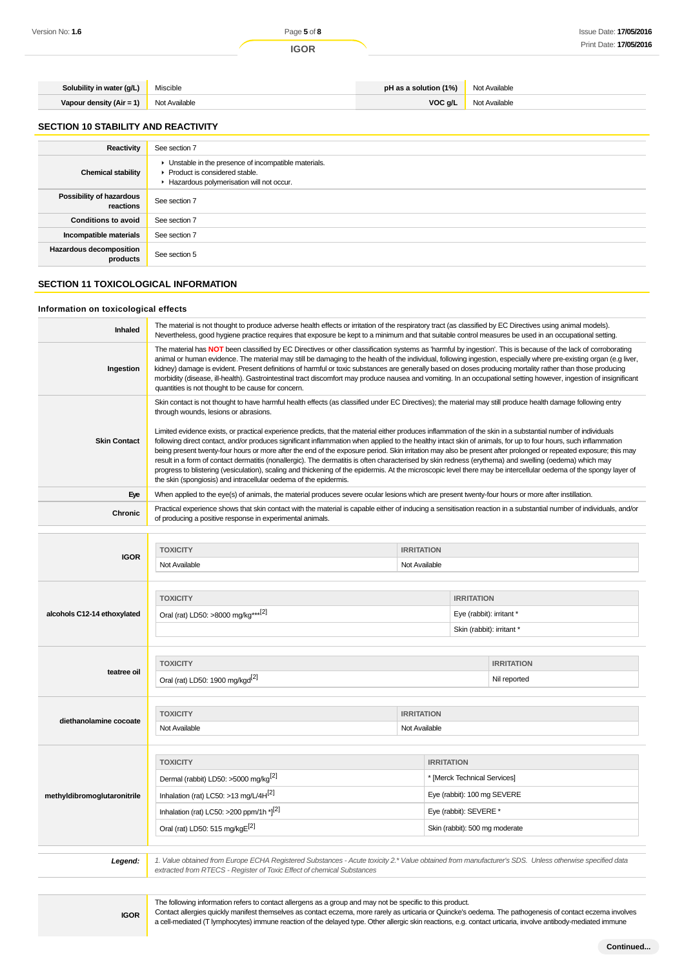| <b>Solubility in water (g/L)</b> Miscible |               | <b>pH as a solution (1%)</b> Not Available |               |
|-------------------------------------------|---------------|--------------------------------------------|---------------|
| Vapour density (Air = 1)                  | Not Available | VOCg/L                                     | Not Available |

### **SECTION 10 STABILITY AND REACTIVITY**

| Reactivity                            | See section 7                                                                                                                        |
|---------------------------------------|--------------------------------------------------------------------------------------------------------------------------------------|
| <b>Chemical stability</b>             | • Unstable in the presence of incompatible materials.<br>▶ Product is considered stable.<br>Hazardous polymerisation will not occur. |
| Possibility of hazardous<br>reactions | See section 7                                                                                                                        |
| <b>Conditions to avoid</b>            | See section 7                                                                                                                        |
| Incompatible materials                | See section 7                                                                                                                        |
| Hazardous decomposition<br>products   | See section 5                                                                                                                        |

## **SECTION 11 TOXICOLOGICAL INFORMATION**

## **Information on toxicological effects**

| Inhaled                     | The material is not thought to produce adverse health effects or irritation of the respiratory tract (as classified by EC Directives using animal models).<br>Nevertheless, good hygiene practice requires that exposure be kept to a minimum and that suitable control measures be used in an occupational setting.                                                                                                                                                                                                                                                                                                                                                                                                                                                                                                                                                                                                                                                                                                                                                                                                                                                                                                                                                 |                                    |                                                                                                                         |                                   |
|-----------------------------|----------------------------------------------------------------------------------------------------------------------------------------------------------------------------------------------------------------------------------------------------------------------------------------------------------------------------------------------------------------------------------------------------------------------------------------------------------------------------------------------------------------------------------------------------------------------------------------------------------------------------------------------------------------------------------------------------------------------------------------------------------------------------------------------------------------------------------------------------------------------------------------------------------------------------------------------------------------------------------------------------------------------------------------------------------------------------------------------------------------------------------------------------------------------------------------------------------------------------------------------------------------------|------------------------------------|-------------------------------------------------------------------------------------------------------------------------|-----------------------------------|
| Ingestion                   | The material has NOT been classified by EC Directives or other classification systems as 'harmful by ingestion'. This is because of the lack of corroborating<br>animal or human evidence. The material may still be damaging to the health of the individual, following ingestion, especially where pre-existing organ (e.g liver,<br>kidney) damage is evident. Present definitions of harmful or toxic substances are generally based on doses producing mortality rather than those producing<br>morbidity (disease, ill-health). Gastrointestinal tract discomfort may produce nausea and vomiting. In an occupational setting however, ingestion of insignificant<br>quantities is not thought to be cause for concern.                                                                                                                                                                                                                                                                                                                                                                                                                                                                                                                                        |                                    |                                                                                                                         |                                   |
| <b>Skin Contact</b>         | Skin contact is not thought to have harmful health effects (as classified under EC Directives); the material may still produce health damage following entry<br>through wounds, lesions or abrasions.<br>Limited evidence exists, or practical experience predicts, that the material either produces inflammation of the skin in a substantial number of individuals<br>following direct contact, and/or produces significant inflammation when applied to the healthy intact skin of animals, for up to four hours, such inflammation<br>being present twenty-four hours or more after the end of the exposure period. Skin irritation may also be present after prolonged or repeated exposure; this may<br>result in a form of contact dermatitis (nonallergic). The dermatitis is often characterised by skin redness (erythema) and swelling (oedema) which may<br>progress to blistering (vesiculation), scaling and thickening of the epidermis. At the microscopic level there may be intercellular oedema of the spongy layer of<br>the skin (spongiosis) and intracellular oedema of the epidermis.<br>When applied to the eye(s) of animals, the material produces severe ocular lesions which are present twenty-four hours or more after instillation. |                                    |                                                                                                                         |                                   |
| Eye                         |                                                                                                                                                                                                                                                                                                                                                                                                                                                                                                                                                                                                                                                                                                                                                                                                                                                                                                                                                                                                                                                                                                                                                                                                                                                                      |                                    |                                                                                                                         |                                   |
| Chronic                     | Practical experience shows that skin contact with the material is capable either of inducing a sensitisation reaction in a substantial number of individuals, and/or<br>of producing a positive response in experimental animals.                                                                                                                                                                                                                                                                                                                                                                                                                                                                                                                                                                                                                                                                                                                                                                                                                                                                                                                                                                                                                                    |                                    |                                                                                                                         |                                   |
| <b>IGOR</b>                 | <b>TOXICITY</b><br>Not Available                                                                                                                                                                                                                                                                                                                                                                                                                                                                                                                                                                                                                                                                                                                                                                                                                                                                                                                                                                                                                                                                                                                                                                                                                                     | <b>IRRITATION</b><br>Not Available |                                                                                                                         |                                   |
| alcohols C12-14 ethoxylated | <b>TOXICITY</b><br><b>IRRITATION</b><br>Oral (rat) LD50: >8000 mg/kg*** <sup>[2]</sup><br>Eye (rabbit): irritant *<br>Skin (rabbit): irritant *                                                                                                                                                                                                                                                                                                                                                                                                                                                                                                                                                                                                                                                                                                                                                                                                                                                                                                                                                                                                                                                                                                                      |                                    |                                                                                                                         |                                   |
| teatree oil                 | <b>TOXICITY</b><br>Oral (rat) LD50: 1900 mg/kgd <sup>[2]</sup>                                                                                                                                                                                                                                                                                                                                                                                                                                                                                                                                                                                                                                                                                                                                                                                                                                                                                                                                                                                                                                                                                                                                                                                                       |                                    |                                                                                                                         | <b>IRRITATION</b><br>Nil reported |
| diethanolamine cocoate      | <b>TOXICITY</b><br>Not Available                                                                                                                                                                                                                                                                                                                                                                                                                                                                                                                                                                                                                                                                                                                                                                                                                                                                                                                                                                                                                                                                                                                                                                                                                                     | <b>IRRITATION</b><br>Not Available |                                                                                                                         |                                   |
| methyldibromoglutaronitrile | <b>TOXICITY</b><br>Dermal (rabbit) LD50: >5000 mg/kg <sup>[2]</sup><br>Inhalation (rat) LC50: >13 mg/L/4H <sup>[2]</sup><br>Inhalation (rat) LC50: >200 ppm/1h * $ ^{2}$<br>Oral (rat) LD50: 515 mg/kgE <sup>[2]</sup>                                                                                                                                                                                                                                                                                                                                                                                                                                                                                                                                                                                                                                                                                                                                                                                                                                                                                                                                                                                                                                               | <b>IRRITATION</b>                  | * [Merck Technical Services]<br>Eye (rabbit): 100 mg SEVERE<br>Eye (rabbit): SEVERE *<br>Skin (rabbit): 500 mg moderate |                                   |
| Legend:                     | 1. Value obtained from Europe ECHA Registered Substances - Acute toxicity 2.* Value obtained from manufacturer's SDS. Unless otherwise specified data<br>extracted from RTECS - Register of Toxic Effect of chemical Substances                                                                                                                                                                                                                                                                                                                                                                                                                                                                                                                                                                                                                                                                                                                                                                                                                                                                                                                                                                                                                                      |                                    |                                                                                                                         |                                   |

The following information refers to contact allergens as a group and may not be specific to this product.

Contact allergies quickly manifest themselves as contact eczema, more rarely as urticaria or Quincke's oedema. The pathogenesis of contact eczema involves a cell-mediated (T lymphocytes) immune reaction of the delayed type. Other allergic skin reactions, e.g. contact urticaria, involve antibody-mediated immune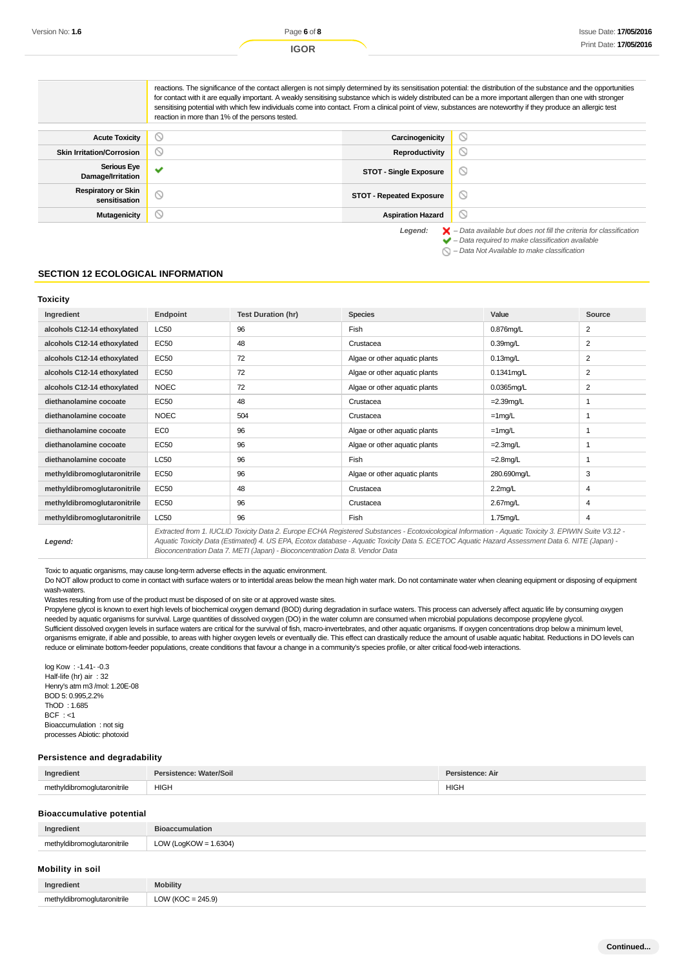reactions. The significance of the contact allergen is not simply determined by its sensitisation potential: the distribution of the substance and the opportunities for contact with it are equally important. A weakly sensitising substance which is widely distributed can be a more important allergen than one with stronger sensitising potential with which few individuals come into contact. From a clinical point of view, substances are noteworthy if they produce an allergic test reaction in more than 1% of the persons tested.  $\circ$ **Acute Toxicity Carcinogenicity Skin Irritation/Corrosion Reproductivity**  $\circ$ **Serious Eye Damage/Irritation Serious Eye STOT - Single Exposure**  $\circlearrowright$ **Respiratory or Skin** ratory or Skin STOT - Repeated Exposure<br>sensitisation  $\circledcirc$  $\circ$ **Mutagenicity Aspiration Hazard** Legend:  $\blacktriangleright$  - Data available but does not fill the criteria for classification

– Data required to make classification available

 $\bigcirc$  – Data Not Available to make classification

#### **SECTION 12 ECOLOGICAL INFORMATION**

| Toxicity                    |                 |                           |                               |               |        |
|-----------------------------|-----------------|---------------------------|-------------------------------|---------------|--------|
| Ingredient                  | Endpoint        | <b>Test Duration (hr)</b> | <b>Species</b>                | Value         | Source |
| alcohols C12-14 ethoxylated | <b>LC50</b>     | 96                        | Fish                          | $0.876$ mg/L  | 2      |
| alcohols C12-14 ethoxylated | EC50            | 48                        | Crustacea                     | $0.39$ mg/L   | 2      |
| alcohols C12-14 ethoxylated | <b>EC50</b>     | 72                        | Algae or other aquatic plants | $0.13$ mg/L   | 2      |
| alcohols C12-14 ethoxylated | <b>EC50</b>     | 72                        | Algae or other aquatic plants | $0.1341$ mg/L | 2      |
| alcohols C12-14 ethoxylated | <b>NOEC</b>     | 72                        | Algae or other aquatic plants | $0.0365$ mg/L | 2      |
| diethanolamine cocoate      | EC50            | 48                        | Crustacea                     | $=2.39$ mg/L  |        |
| diethanolamine cocoate      | <b>NOEC</b>     | 504                       | Crustacea                     | $=1$ mg/L     | 1      |
| diethanolamine cocoate      | EC <sub>0</sub> | 96                        | Algae or other aquatic plants | $=1$ mg/L     |        |
| diethanolamine cocoate      | EC50            | 96                        | Algae or other aquatic plants | $=2.3$ mg/L   |        |
| diethanolamine cocoate      | <b>LC50</b>     | 96                        | <b>Fish</b>                   | $=2.8$ mg/L   | 1      |
| methyldibromoglutaronitrile | <b>EC50</b>     | 96                        | Algae or other aquatic plants | 280.690mg/L   | 3      |
| methyldibromoglutaronitrile | <b>EC50</b>     | 48                        | Crustacea                     | $2.2$ mg/L    | 4      |
| methyldibromoglutaronitrile | <b>EC50</b>     | 96                        | Crustacea                     | 2.67mg/L      | 4      |
| methyldibromoglutaronitrile | <b>LC50</b>     | 96                        | Fish                          | 1.75mg/L      | 4      |

**Legend:**

Extracted from 1. IUCLID Toxicity Data 2. Europe ECHA Registered Substances - Ecotoxicological Information - Aquatic Toxicity 3. EPIWIN Suite V3.12 - Aquatic Toxicity Data (Estimated) 4. US EPA, Ecotox database - Aquatic Toxicity Data 5. ECETOC Aquatic Hazard Assessment Data 6. NITE (Japan) - Bioconcentration Data 7. METI (Japan) - Bioconcentration Data 8. Vendor Data

Toxic to aquatic organisms, may cause long-term adverse effects in the aquatic environment.

Do NOT allow product to come in contact with surface waters or to intertidal areas below the mean high water mark. Do not contaminate water when cleaning equipment or disposing of equipment wash-waters.

Wastes resulting from use of the product must be disposed of on site or at approved waste sites.

Propylene glycol is known to exert high levels of biochemical oxygen demand (BOD) during degradation in surface waters. This process can adversely affect aquatic life by consuming oxygen needed by aquatic organisms for survival. Large quantities of dissolved oxygen (DO) in the water column are consumed when microbial populations decompose propylene glycol. Sufficient dissolved oxygen levels in surface waters are critical for the survival of fish, macro-invertebrates, and other aquatic organisms. If oxygen concentrations drop below a minimum level, organisms emigrate, if able and possible, to areas with higher oxygen levels or eventually die. This effect can drastically reduce the amount of usable aquatic habitat. Reductions in DO levels can reduce or eliminate bottom-feeder populations, create conditions that favour a change in a community's species profile, or alter critical food-web interactions.

log Kow : -1.41- -0.3 Half-life (hr) air : 32 Henry's atm m3 /mol: 1.20E-08 BOD 5: 0.995,2.2% ThOD : 1.685  $BCF : < 1$ Bioaccumulation : not sig processes Abiotic: photoxid

#### **Persistence and degradability**

| Innı                                                     |             |
|----------------------------------------------------------|-------------|
| <b>HIGH</b><br>ma<br>the contract of the contract of the | <b>HIGH</b> |

#### **Bioaccumulative potential**

| Ingredient                  | <b>Bioaccumulation</b>   |
|-----------------------------|--------------------------|
| methyldibromoglutaronitrile | LOW (LogKOW = $1.6304$ ) |

#### **Mobility in soil**

| Ingredient                  | <b>Mobility</b>      |
|-----------------------------|----------------------|
| methyldibromoglutaronitrile | LOW (KOC = $245.9$ ) |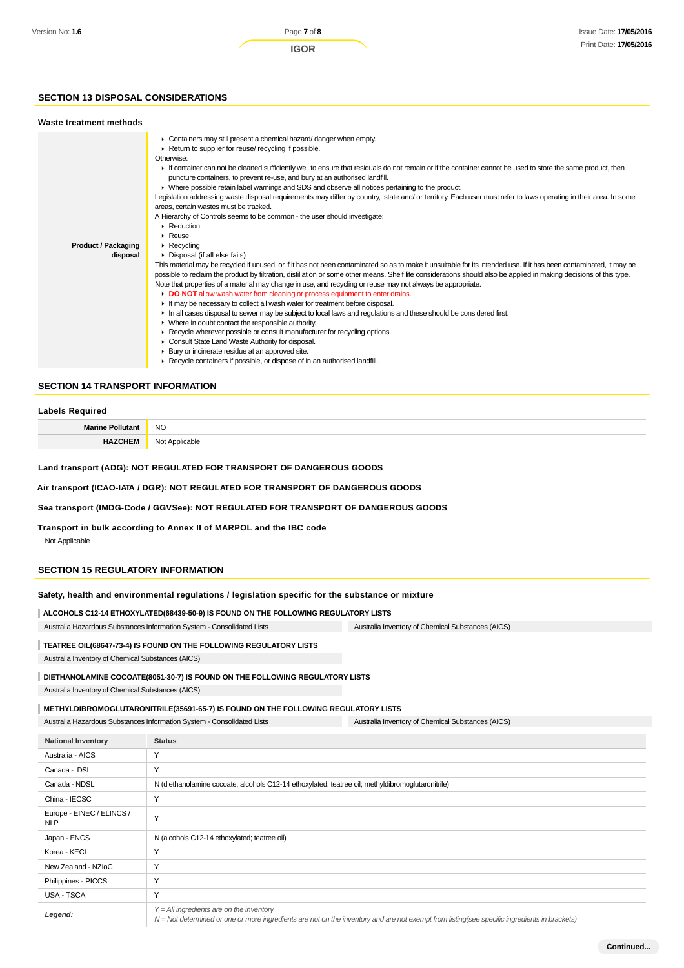## **SECTION 13 DISPOSAL CONSIDERATIONS**

## **Waste treatment methods**

|                            | • Containers may still present a chemical hazard/ danger when empty.                                                                                                 |
|----------------------------|----------------------------------------------------------------------------------------------------------------------------------------------------------------------|
|                            | ▶ Return to supplier for reuse/ recycling if possible.                                                                                                               |
|                            | Otherwise:                                                                                                                                                           |
|                            | If container can not be cleaned sufficiently well to ensure that residuals do not remain or if the container cannot be used to store the same product, then          |
|                            | puncture containers, to prevent re-use, and bury at an authorised landfill.                                                                                          |
|                            | ► Where possible retain label warnings and SDS and observe all notices pertaining to the product.                                                                    |
|                            | Legislation addressing waste disposal requirements may differ by country, state and/ or territory. Each user must refer to laws operating in their area. In some     |
|                            | areas, certain wastes must be tracked.                                                                                                                               |
|                            | A Hierarchy of Controls seems to be common - the user should investigate:                                                                                            |
|                            | $\blacktriangleright$ Reduction                                                                                                                                      |
|                            | $\triangleright$ Reuse                                                                                                                                               |
| <b>Product / Packaging</b> | $\triangleright$ Recycling                                                                                                                                           |
| disposal                   | ▶ Disposal (if all else fails)                                                                                                                                       |
|                            | This material may be recycled if unused, or if it has not been contaminated so as to make it unsuitable for its intended use. If it has been contaminated, it may be |
|                            | possible to reclaim the product by filtration, distillation or some other means. Shelf life considerations should also be applied in making decisions of this type.  |
|                            | Note that properties of a material may change in use, and recycling or reuse may not always be appropriate.                                                          |
|                            | DO NOT allow wash water from cleaning or process equipment to enter drains.                                                                                          |
|                            | It may be necessary to collect all wash water for treatment before disposal.                                                                                         |
|                            | In all cases disposal to sewer may be subject to local laws and regulations and these should be considered first.                                                    |
|                            | $\blacktriangleright$ Where in doubt contact the responsible authority.                                                                                              |
|                            | ▶ Recycle wherever possible or consult manufacturer for recycling options.                                                                                           |
|                            | Consult State Land Waste Authority for disposal.                                                                                                                     |
|                            | ▶ Bury or incinerate residue at an approved site.                                                                                                                    |
|                            | ▶ Recycle containers if possible, or dispose of in an authorised landfill.                                                                                           |
|                            |                                                                                                                                                                      |

### **SECTION 14 TRANSPORT INFORMATION**

#### **Labels Required**

|     | <b>NO</b><br>$\sim$    |
|-----|------------------------|
| . . | ៱៲៹<br>ימ<br>ישוי<br>. |

**Land transport (ADG): NOT REGULATED FOR TRANSPORT OF DANGEROUS GOODS**

**Air transport (ICAO-IATA / DGR): NOT REGULATED FOR TRANSPORT OF DANGEROUS GOODS**

**Sea transport (IMDG-Code / GGVSee): NOT REGULATED FOR TRANSPORT OF DANGEROUS GOODS**

**Transport in bulk according to Annex II of MARPOL and the IBC code**

Not Applicable

#### **SECTION 15 REGULATORY INFORMATION**

### **Safety, health and environmental regulations / legislation specific for the substance or mixture**

**ALCOHOLS C12-14 ETHOXYLATED(68439-50-9) IS FOUND ON THE FOLLOWING REGULATORY LISTS**

Australia Hazardous Substances Information System - Consolidated Lists Australia Inventory of Chemical Substances (AICS)

## **TEATREE OIL(68647-73-4) IS FOUND ON THE FOLLOWING REGULATORY LISTS**

Australia Inventory of Chemical Substances (AICS)

## **DIETHANOLAMINE COCOATE(8051-30-7) IS FOUND ON THE FOLLOWING REGULATORY LISTS**

Australia Inventory of Chemical Substances (AICS)

## **METHYLDIBROMOGLUTARONITRILE(35691-65-7) IS FOUND ON THE FOLLOWING REGULATORY LISTS**

Australia Hazardous Substances Information System - Consolidated Lists Australia Inventory of Chemical Substances (AICS)

| <b>National Inventory</b>               | <b>Status</b>                                                                                                                                                                              |
|-----------------------------------------|--------------------------------------------------------------------------------------------------------------------------------------------------------------------------------------------|
| Australia - AICS                        | Y                                                                                                                                                                                          |
| Canada - DSL                            | Y                                                                                                                                                                                          |
| Canada - NDSL                           | N (diethanolamine cocoate; alcohols C12-14 ethoxylated; teatree oil; methyldibromoglutaronitrile)                                                                                          |
| China - IECSC                           | Y                                                                                                                                                                                          |
| Europe - EINEC / ELINCS /<br><b>NLP</b> | Y                                                                                                                                                                                          |
| Japan - ENCS                            | N (alcohols C12-14 ethoxylated; teatree oil)                                                                                                                                               |
| Korea - KECI                            | Y                                                                                                                                                                                          |
| New Zealand - NZIoC                     | Y                                                                                                                                                                                          |
| Philippines - PICCS                     | Y                                                                                                                                                                                          |
| USA - TSCA                              | Y                                                                                                                                                                                          |
| Legend:                                 | $Y = All$ ingredients are on the inventory<br>N = Not determined or one or more ingredients are not on the inventory and are not exempt from listing(see specific ingredients in brackets) |

**Continued...**